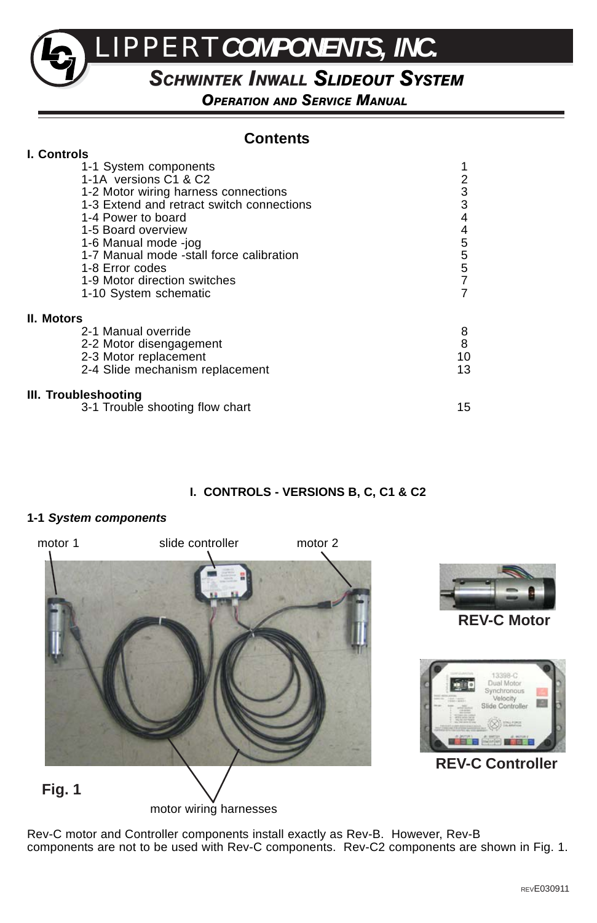LIPPERT*COMPONENTS, INC.*

# *SCHWINTEK INWALL SLIDEOUT SYSTEM*

*OPERATION AND SERVICE MANUAL*

# **Contents**

| <b>I. Controls</b>                        |                                             |
|-------------------------------------------|---------------------------------------------|
| 1-1 System components                     |                                             |
| 1-1A versions C1 & C2                     |                                             |
| 1-2 Motor wiring harness connections      | $\frac{2}{3}$                               |
| 1-3 Extend and retract switch connections |                                             |
| 1-4 Power to board                        | 4                                           |
| 1-5 Board overview                        |                                             |
| 1-6 Manual mode -jog                      |                                             |
| 1-7 Manual mode -stall force calibration  | 45557                                       |
| 1-8 Error codes                           |                                             |
| 1-9 Motor direction switches              |                                             |
| 1-10 System schematic                     |                                             |
| <b>II. Motors</b>                         |                                             |
| 2-1 Manual override                       |                                             |
| 2-2 Motor disengagement                   | $\begin{array}{c} 8 \\ 8 \\ 10 \end{array}$ |
| 2-3 Motor replacement                     |                                             |
| 2-4 Slide mechanism replacement           | 13                                          |
| III. Troubleshooting                      |                                             |
| 3-1 Trouble shooting flow chart           | 15                                          |

### **I. CONTROLS - VERSIONS B, C, C1 & C2**

### **1-1** *System components*



Rev-C motor and Controller components install exactly as Rev-B. However, Rev-B components are not to be used with Rev-C components. Rev-C2 components are shown in Fig. 1.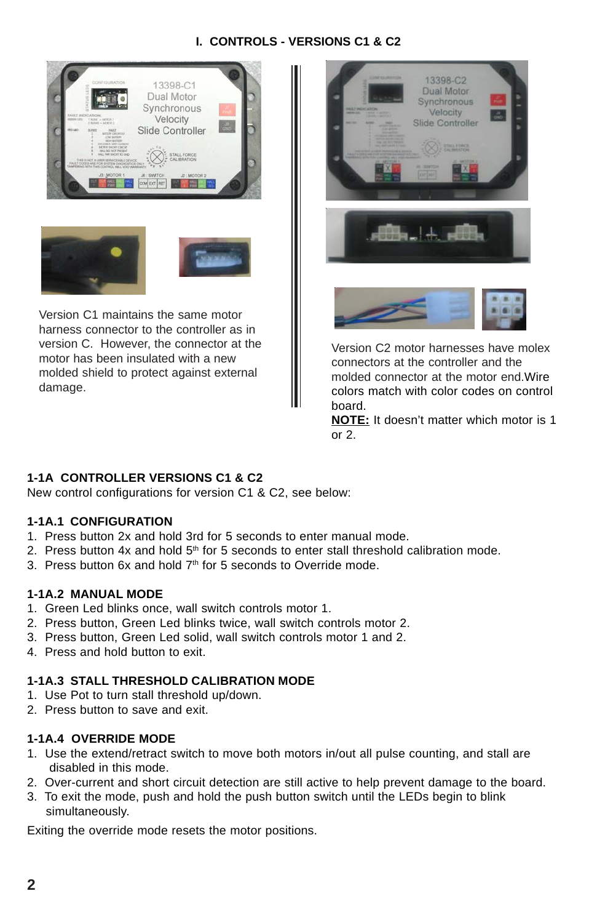# **I. CONTROLS - VERSIONS C1 & C2**



harness connector to the controller as in version C. However, the connector at the motor has been insulated with a new molded shield to protect against external damage.



Version C2 motor harnesses have molex connectors at the controller and the molded connector at the motor end.Wire colors match with color codes on control board.

**NOTE:** It doesn't matter which motor is 1 or 2.

# **1-1A CONTROLLER VERSIONS C1 & C2**

New control configurations for version C1 & C2, see below:

### **1-1A.1 CONFIGURATION**

- 1. Press button 2x and hold 3rd for 5 seconds to enter manual mode.
- 2. Press button 4x and hold  $5<sup>th</sup>$  for 5 seconds to enter stall threshold calibration mode.
- 3. Press button 6x and hold 7<sup>th</sup> for 5 seconds to Override mode.

### **1-1A.2 MANUAL MODE**

- 1. Green Led blinks once, wall switch controls motor 1.
- 2. Press button, Green Led blinks twice, wall switch controls motor 2.
- 3. Press button, Green Led solid, wall switch controls motor 1 and 2.
- 4. Press and hold button to exit.

### **1-1A.3 STALL THRESHOLD CALIBRATION MODE**

- 1. Use Pot to turn stall threshold up/down.
- 2. Press button to save and exit.

### **1-1A.4 OVERRIDE MODE**

- 1. Use the extend/retract switch to move both motors in/out all pulse counting, and stall are disabled in this mode.
- 2. Over-current and short circuit detection are still active to help prevent damage to the board.
- 3. To exit the mode, push and hold the push button switch until the LEDs begin to blink simultaneously.

Exiting the override mode resets the motor positions.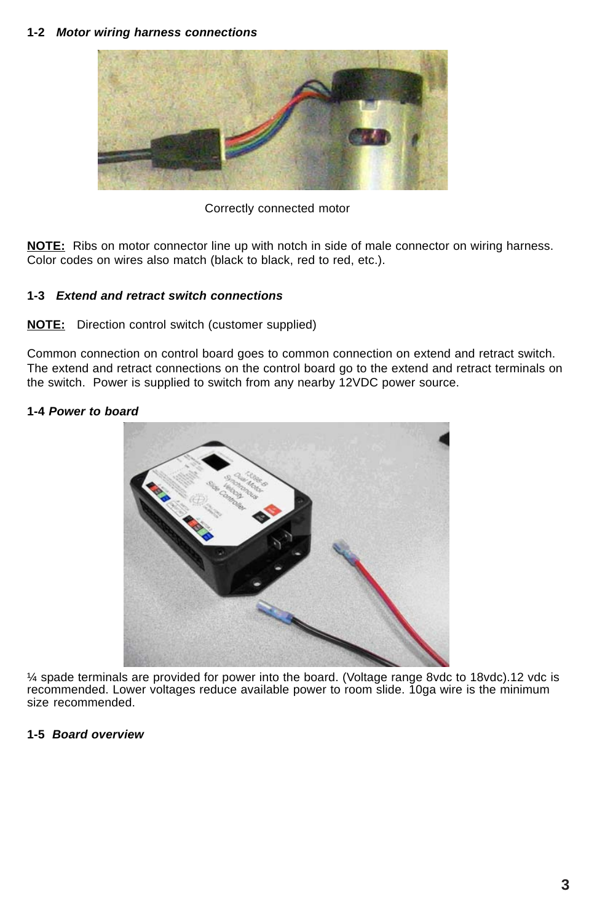#### **1-2** *Motor wiring harness connections*



Correctly connected motor

**NOTE:** Ribs on motor connector line up with notch in side of male connector on wiring harness. Color codes on wires also match (black to black, red to red, etc.).

### **1-3** *Extend and retract switch connections*

### **NOTE:**Direction control switch (customer supplied)

Common connection on control board goes to common connection on extend and retract switch. The extend and retract connections on the control board go to the extend and retract terminals on the switch. Power is supplied to switch from any nearby 12VDC power source.

### **1-4** *Power to board*



¼ spade terminals are provided for power into the board. (Voltage range 8vdc to 18vdc).12 vdc is recommended. Lower voltages reduce available power to room slide. 10ga wire is the minimum size recommended.

### **1-5** *Board overview*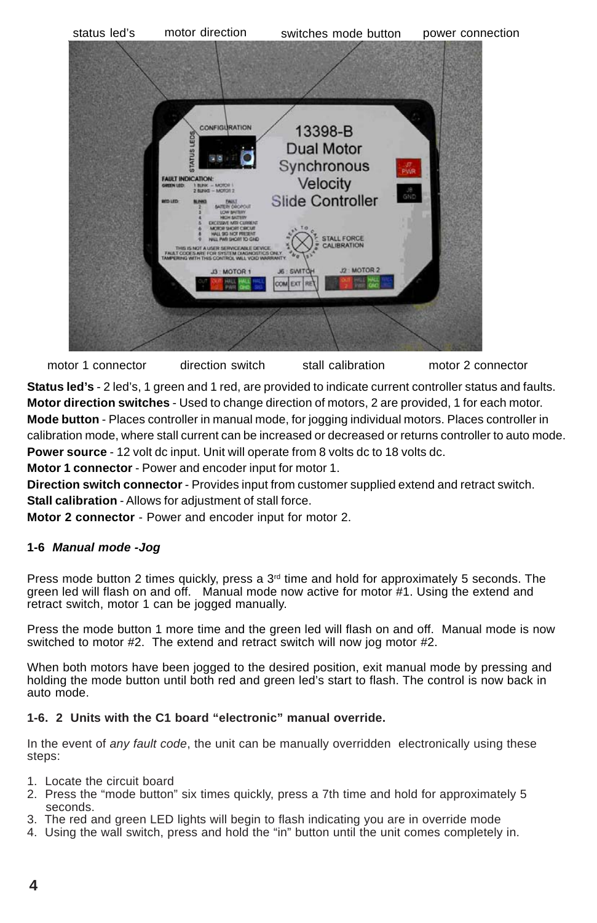

motor 1 connector direction switch stall calibration motor 2 connector

**Status led's** - 2 led's, 1 green and 1 red, are provided to indicate current controller status and faults. **Motor direction switches** - Used to change direction of motors, 2 are provided, 1 for each motor. **Mode button** - Places controller in manual mode, for jogging individual motors. Places controller in calibration mode, where stall current can be increased or decreased or returns controller to auto mode. **Power source** - 12 volt dc input. Unit will operate from 8 volts dc to 18 volts dc.

**Motor 1 connector** - Power and encoder input for motor 1.

**Direction switch connector** - Provides input from customer supplied extend and retract switch. **Stall calibration** - Allows for adjustment of stall force.

**Motor 2 connector** - Power and encoder input for motor 2.

### **1-6** *Manual mode -Jog*

Press mode button 2 times quickly, press a  $3<sup>rd</sup>$  time and hold for approximately 5 seconds. The green led will flash on and off. Manual mode now active for motor #1. Using the extend and retract switch, motor 1 can be jogged manually.

Press the mode button 1 more time and the green led will flash on and off. Manual mode is now switched to motor #2. The extend and retract switch will now jog motor #2.

When both motors have been jogged to the desired position, exit manual mode by pressing and holding the mode button until both red and green led's start to flash. The control is now back in auto mode.

### **1-6. 2 Units with the C1 board "electronic" manual override.**

In the event of *any fault code*, the unit can be manually overridden electronically using these steps:

- 1. Locate the circuit board
- 2. Press the "mode button" six times quickly, press a 7th time and hold for approximately 5 seconds.
- 3. The red and green LED lights will begin to flash indicating you are in override mode
- 4. Using the wall switch, press and hold the "in" button until the unit comes completely in.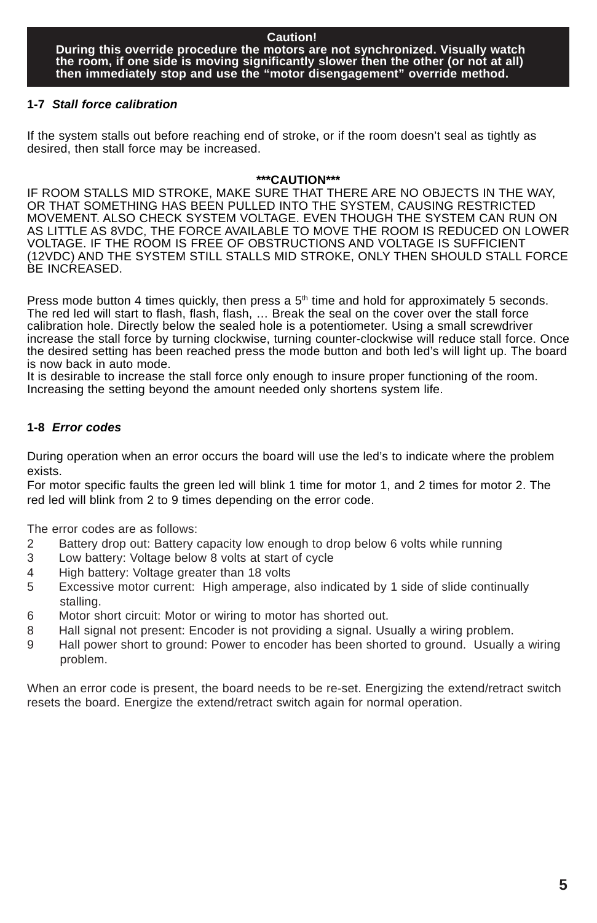### **1-7** *Stall force calibration*

If the system stalls out before reaching end of stroke, or if the room doesn't seal as tightly as desired, then stall force may be increased.

#### **\*\*\*CAUTION\*\*\***

IF ROOM STALLS MID STROKE, MAKE SURE THAT THERE ARE NO OBJECTS IN THE WAY, OR THAT SOMETHING HAS BEEN PULLED INTO THE SYSTEM, CAUSING RESTRICTED MOVEMENT. ALSO CHECK SYSTEM VOLTAGE. EVEN THOUGH THE SYSTEM CAN RUN ON AS LITTLE AS 8VDC, THE FORCE AVAILABLE TO MOVE THE ROOM IS REDUCED ON LOWER VOLTAGE. IF THE ROOM IS FREE OF OBSTRUCTIONS AND VOLTAGE IS SUFFICIENT (12VDC) AND THE SYSTEM STILL STALLS MID STROKE, ONLY THEN SHOULD STALL FORCE BE INCREASED.

Press mode button 4 times quickly, then press a  $5<sup>th</sup>$  time and hold for approximately 5 seconds. The red led will start to flash, flash, flash, … Break the seal on the cover over the stall force calibration hole. Directly below the sealed hole is a potentiometer. Using a small screwdriver increase the stall force by turning clockwise, turning counter-clockwise will reduce stall force. Once the desired setting has been reached press the mode button and both led's will light up. The board is now back in auto mode.

It is desirable to increase the stall force only enough to insure proper functioning of the room. Increasing the setting beyond the amount needed only shortens system life.

### **1-8** *Error codes*

During operation when an error occurs the board will use the led's to indicate where the problem exists.

For motor specific faults the green led will blink 1 time for motor 1, and 2 times for motor 2. The red led will blink from 2 to 9 times depending on the error code.

The error codes are as follows:

- 2 Battery drop out: Battery capacity low enough to drop below 6 volts while running
- 3 Low battery: Voltage below 8 volts at start of cycle
- 4 High battery: Voltage greater than 18 volts
- 5 Excessive motor current: High amperage, also indicated by 1 side of slide continually stalling.
- 6 Motor short circuit: Motor or wiring to motor has shorted out.
- 8 Hall signal not present: Encoder is not providing a signal. Usually a wiring problem.
- 9 Hall power short to ground: Power to encoder has been shorted to ground. Usually a wiring problem.

When an error code is present, the board needs to be re-set. Energizing the extend/retract switch resets the board. Energize the extend/retract switch again for normal operation.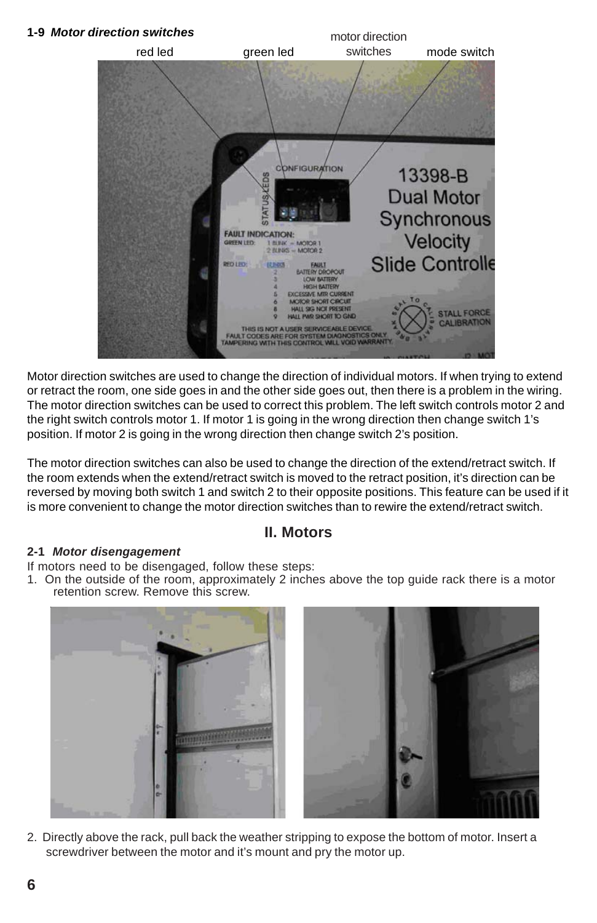# **1-9** *Motor direction switches* motor direction switches red led green led switches mode switch *<u>ONFIGURATION</u>* 13398-B **Dual Motor** Synchronous<br>Velocity **FAULT INDICATION: FEN LED**  $2$  BLINIS - MOTOR 2 **Slide Controlle RED LEO** 122-00

Motor direction switches are used to change the direction of individual motors. If when trying to extend or retract the room, one side goes in and the other side goes out, then there is a problem in the wiring. The motor direction switches can be used to correct this problem. The left switch controls motor 2 and the right switch controls motor 1. If motor 1 is going in the wrong direction then change switch 1's position. If motor 2 is going in the wrong direction then change switch 2's position.

The motor direction switches can also be used to change the direction of the extend/retract switch. If the room extends when the extend/retract switch is moved to the retract position, it's direction can be reversed by moving both switch 1 and switch 2 to their opposite positions. This feature can be used if it is more convenient to change the motor direction switches than to rewire the extend/retract switch.

# **II. Motors**

### **2-1** *Motor disengagement*

If motors need to be disengaged, follow these steps:

1. On the outside of the room, approximately 2 inches above the top guide rack there is a motor retention screw. Remove this screw.



2. Directly above the rack, pull back the weather stripping to expose the bottom of motor. Insert a screwdriver between the motor and it's mount and pry the motor up.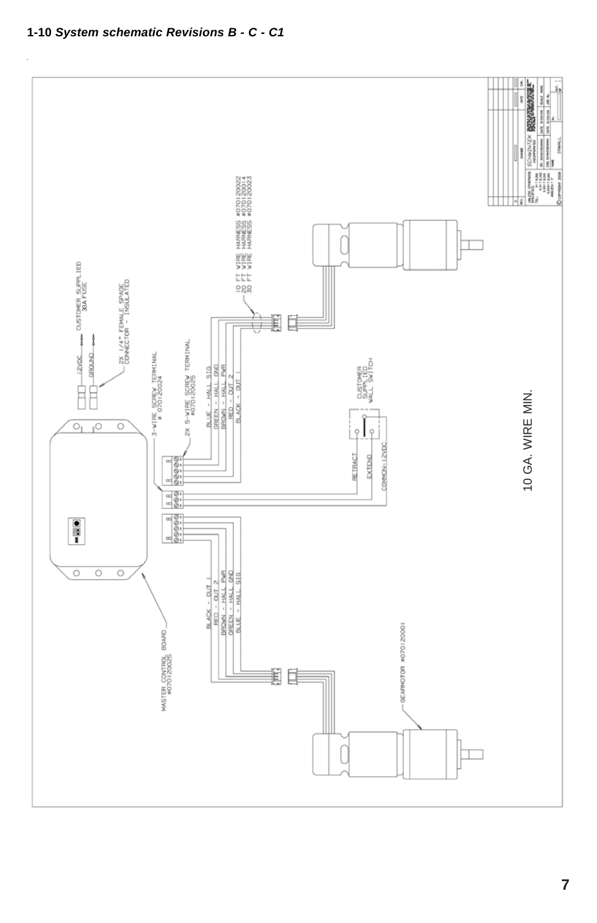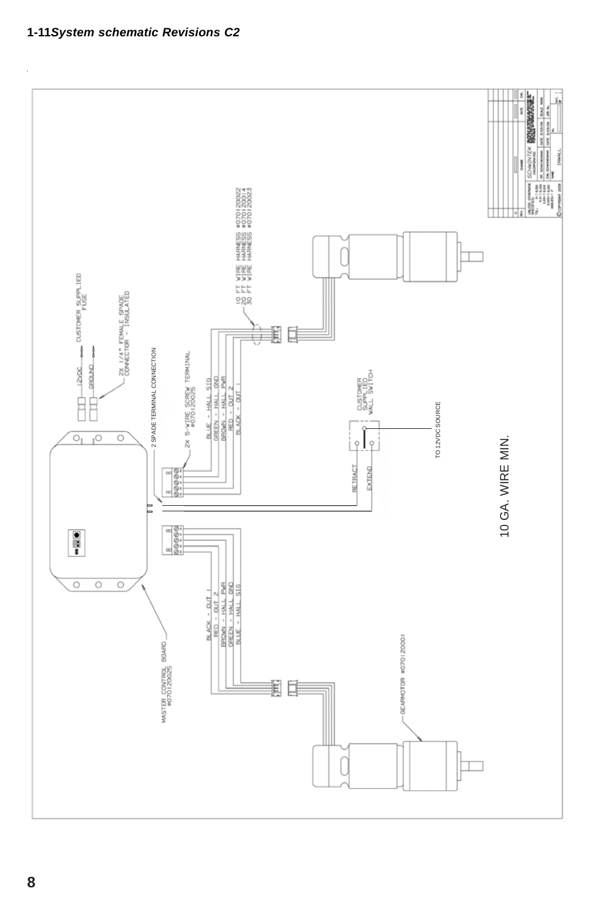

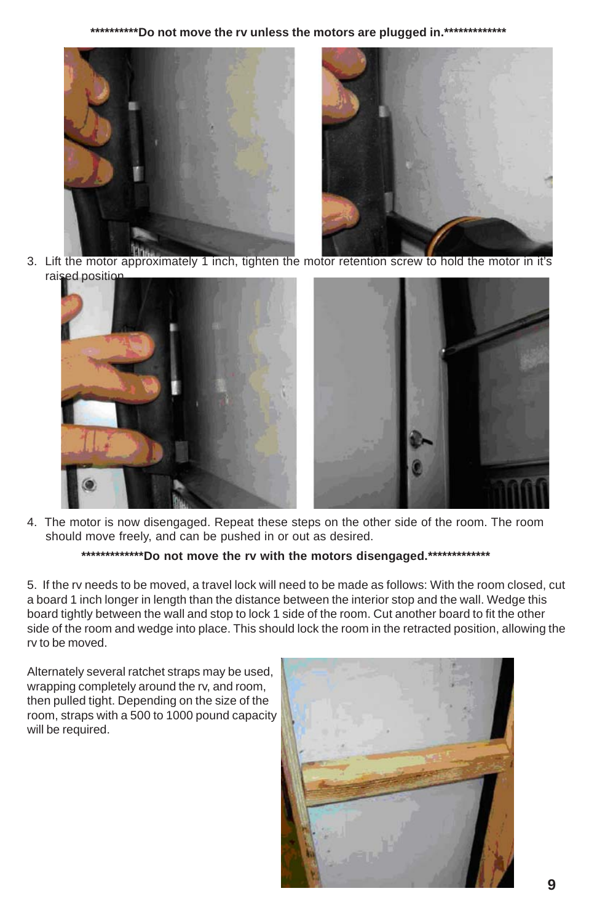**\*\*\*\*\*\*\*\*\*\*Do not move the rv unless the motors are plugged in.\*\*\*\*\*\*\*\*\*\*\*\*\***



3. Lift the motor approximately 1 inch, tighten the motor retention screw to hold the motor in it's raised position



4. The motor is now disengaged. Repeat these steps on the other side of the room. The room should move freely, and can be pushed in or out as desired.

### **\*\*\*\*\*\*\*\*\*\*\*\*\*Do not move the rv with the motors disengaged.\*\*\*\*\*\*\*\*\*\*\*\*\***

5. If the rv needs to be moved, a travel lock will need to be made as follows: With the room closed, cut a board 1 inch longer in length than the distance between the interior stop and the wall. Wedge this board tightly between the wall and stop to lock 1 side of the room. Cut another board to fit the other side of the room and wedge into place. This should lock the room in the retracted position, allowing the rv to be moved.

Alternately several ratchet straps may be used, wrapping completely around the rv, and room, then pulled tight. Depending on the size of the room, straps with a 500 to 1000 pound capacity will be required.

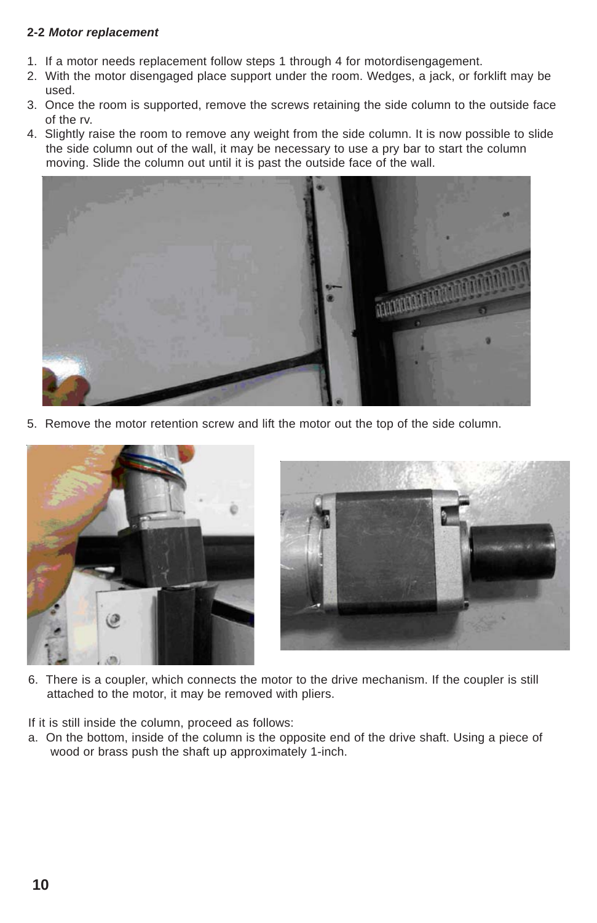### **2-2** *Motor replacement*

- 1. If a motor needs replacement follow steps 1 through 4 for motordisengagement.
- 2. With the motor disengaged place support under the room. Wedges, a jack, or forklift may be used.
- 3. Once the room is supported, remove the screws retaining the side column to the outside face of the rv.
- 4. Slightly raise the room to remove any weight from the side column. It is now possible to slide the side column out of the wall, it may be necessary to use a pry bar to start the column moving. Slide the column out until it is past the outside face of the wall.



5. Remove the motor retention screw and lift the motor out the top of the side column.





6. There is a coupler, which connects the motor to the drive mechanism. If the coupler is still attached to the motor, it may be removed with pliers.

If it is still inside the column, proceed as follows:

a. On the bottom, inside of the column is the opposite end of the drive shaft. Using a piece of wood or brass push the shaft up approximately 1-inch.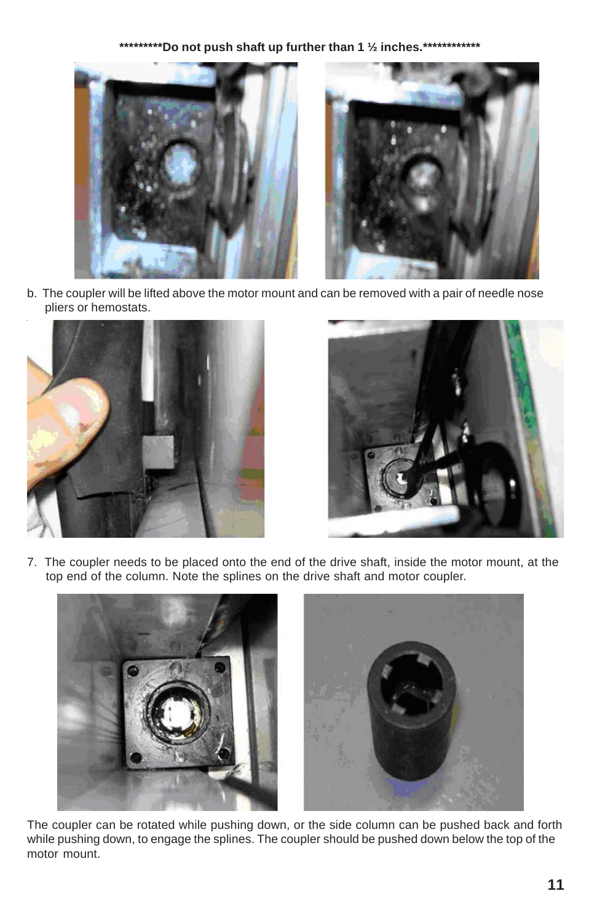# **\*\*\*\*\*\*\*\*\*Do not push shaft up further than 1 ½ inches.\*\*\*\*\*\*\*\*\*\*\*\***





b. The coupler will be lifted above the motor mount and can be removed with a pair of needle nose pliers or hemostats.





7. The coupler needs to be placed onto the end of the drive shaft, inside the motor mount, at the top end of the column. Note the splines on the drive shaft and motor coupler.



The coupler can be rotated while pushing down, or the side column can be pushed back and forth while pushing down, to engage the splines. The coupler should be pushed down below the top of the motor mount.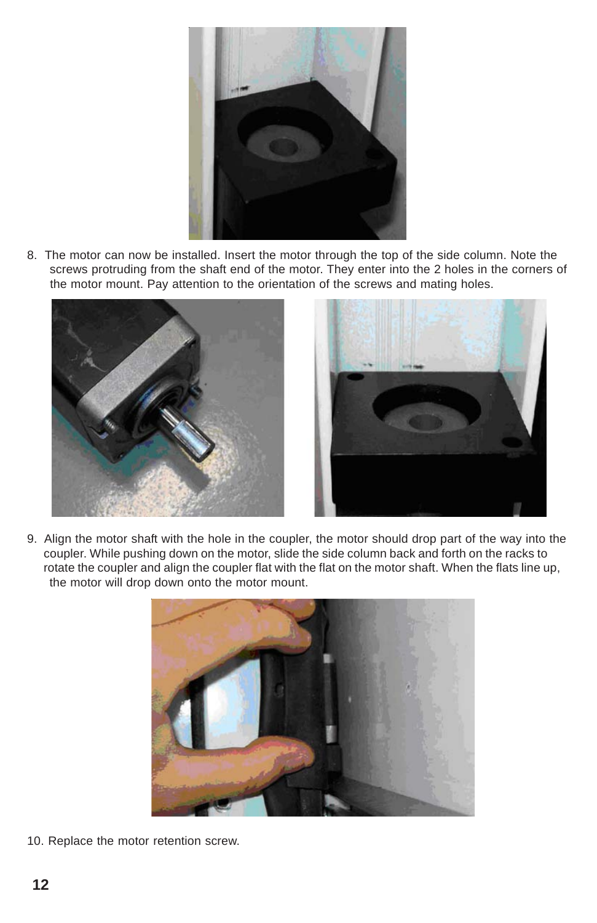

8. The motor can now be installed. Insert the motor through the top of the side column. Note the screws protruding from the shaft end of the motor. They enter into the 2 holes in the corners of the motor mount. Pay attention to the orientation of the screws and mating holes.





9. Align the motor shaft with the hole in the coupler, the motor should drop part of the way into the coupler. While pushing down on the motor, slide the side column back and forth on the racks to rotate the coupler and align the coupler flat with the flat on the motor shaft. When the flats line up, the motor will drop down onto the motor mount.



10. Replace the motor retention screw.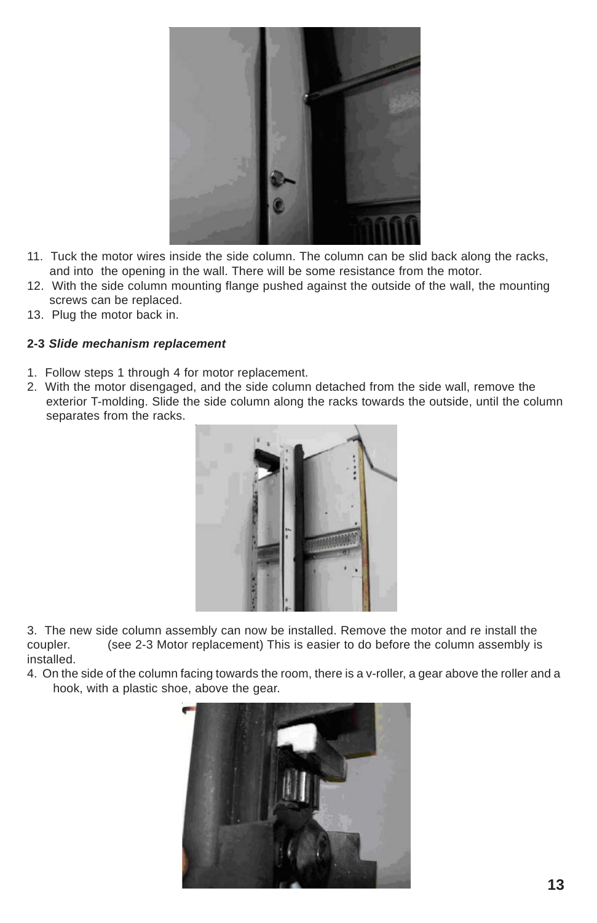

- 11. Tuck the motor wires inside the side column. The column can be slid back along the racks, and into the opening in the wall. There will be some resistance from the motor.
- 12. With the side column mounting flange pushed against the outside of the wall, the mounting screws can be replaced.
- 13. Plug the motor back in.

### **2-3** *Slide mechanism replacement*

- 1. Follow steps 1 through 4 for motor replacement.
- 2. With the motor disengaged, and the side column detached from the side wall, remove the exterior T-molding. Slide the side column along the racks towards the outside, until the column separates from the racks.



3. The new side column assembly can now be installed. Remove the motor and re install the coupler. (see 2-3 Motor replacement) This is easier to do before the column assembly is installed.

4. On the side of the column facing towards the room, there is a v-roller, a gear above the roller and a hook, with a plastic shoe, above the gear.

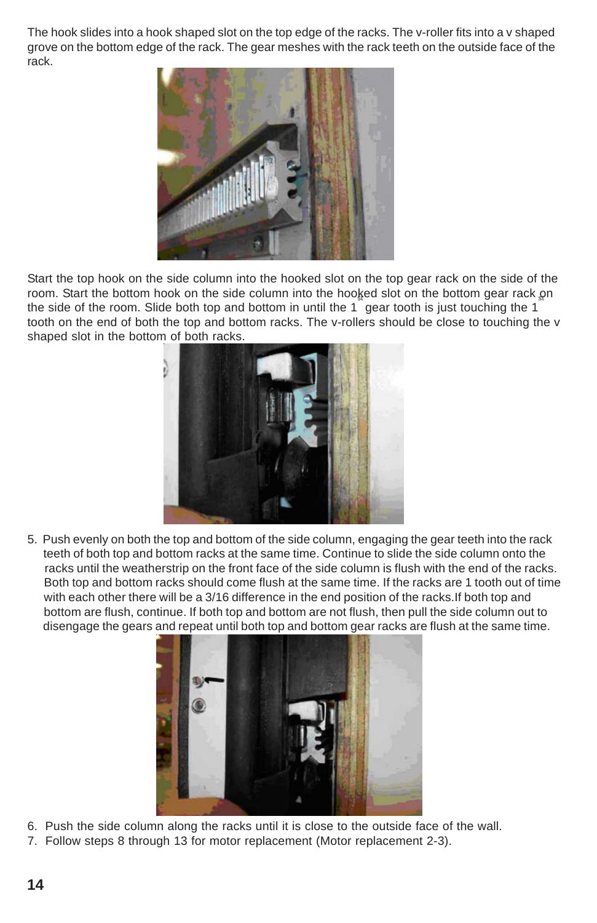The hook slides into a hook shaped slot on the top edge of the racks. The v-roller fits into a v shaped grove on the bottom edge of the rack. The gear meshes with the rack teeth on the outside face of the rack.



Start the top hook on the side column into the hooked slot on the top gear rack on the side of the room. Start the bottom hook on the side column into the hooked slot on the bottom gear rack on the side of the room. Slide both top and bottom in until the 1 gear tooth is just touching the 1 tooth on the end of both the top and bottom racks. The v-rollers should be close to touching the v shaped slot in the bottom of both racks.



5. Push evenly on both the top and bottom of the side column, engaging the gear teeth into the rack teeth of both top and bottom racks at the same time. Continue to slide the side column onto the racks until the weatherstrip on the front face of the side column is flush with the end of the racks. Both top and bottom racks should come flush at the same time. If the racks are 1 tooth out of time with each other there will be a 3/16 difference in the end position of the racks.If both top and bottom are flush, continue. If both top and bottom are not flush, then pull the side column out to disengage the gears and repeat until both top and bottom gear racks are flush at the same time.



- 6. Push the side column along the racks until it is close to the outside face of the wall.
- 7. Follow steps 8 through 13 for motor replacement (Motor replacement 2-3).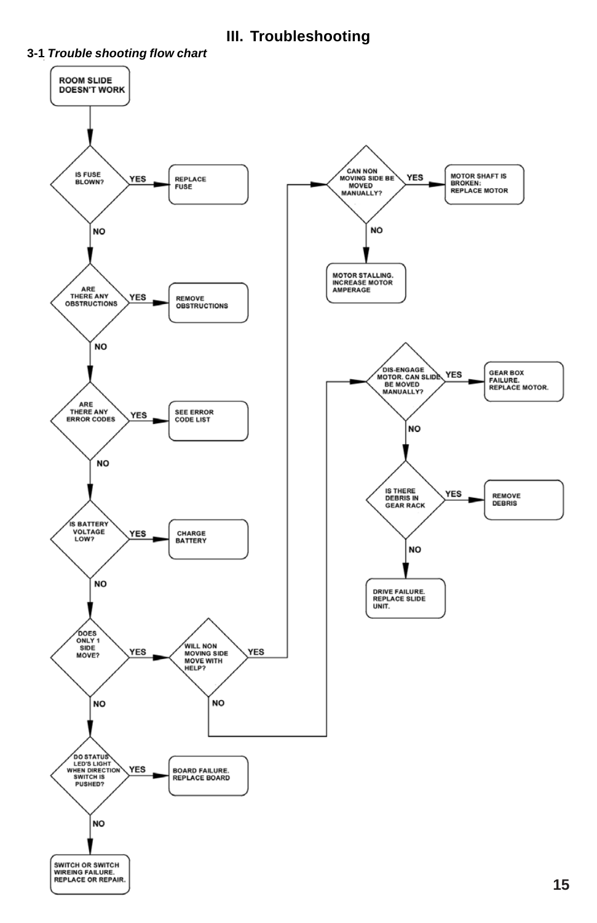**III. Troubleshooting**



### **3-1** *Trouble shooting flow chart*